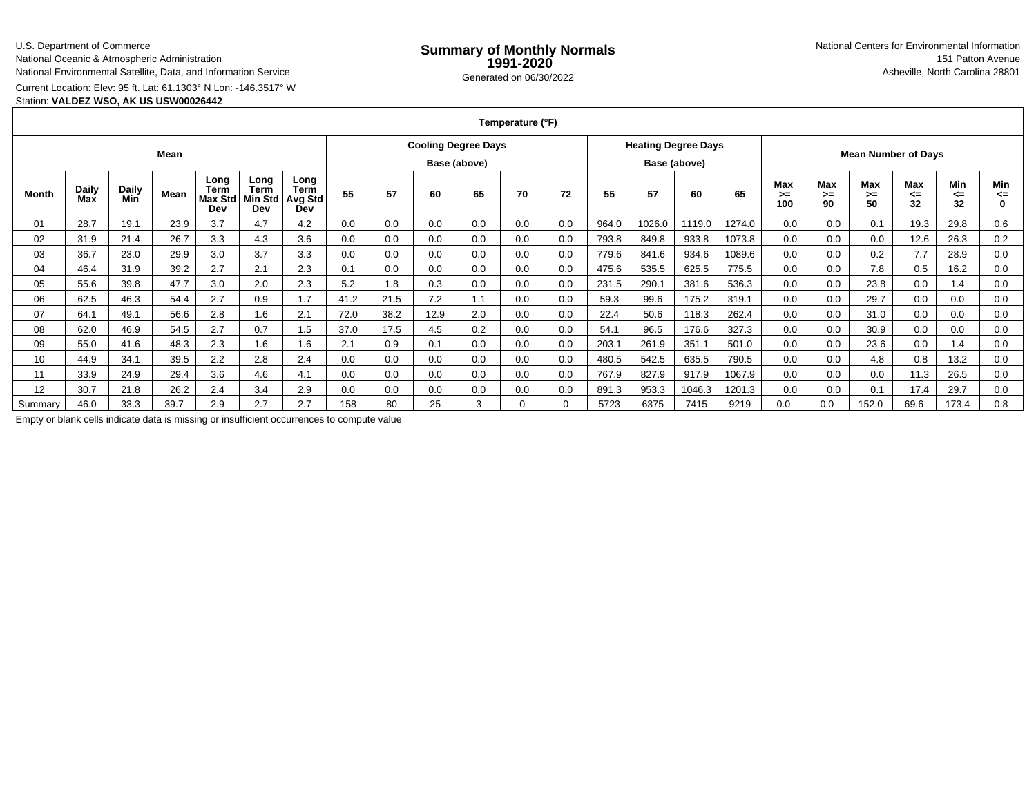## U.S. Department of Commerce

National Oceanic & Atmospheric Administration

National Environmental Satellite, Data, and Information Service

Current Location: Elev: 95 ft. Lat: 61.1303° N Lon: -146.3517° W

# Station: **VALDEZ WSO, AK US USW00026442**

### **Temperature (°F)**

| Mean    |                     |                     |      |                                |                                              |                                       | <b>Cooling Degree Days</b> |      |      |     |     |              | <b>Heating Degree Days</b> |        |        |                            |                 |                        |                          |                 |                 |                       |
|---------|---------------------|---------------------|------|--------------------------------|----------------------------------------------|---------------------------------------|----------------------------|------|------|-----|-----|--------------|----------------------------|--------|--------|----------------------------|-----------------|------------------------|--------------------------|-----------------|-----------------|-----------------------|
|         |                     |                     |      |                                |                                              |                                       | Base (above)               |      |      |     |     | Base (above) |                            |        |        | <b>Mean Number of Days</b> |                 |                        |                          |                 |                 |                       |
| Month   | <b>Daily</b><br>Max | <b>Daily</b><br>Min | Mean | Long<br>Term<br>Max Std<br>Dev | Long<br><b>Term</b><br><b>Min Std</b><br>Dev | Long<br><b>Term</b><br>Avg Std<br>Dev | 55                         | 57   | 60   | 65  | 70  | 72           | 55                         | 57     | 60     | 65                         | Max<br>➤<br>100 | <b>Max</b><br>>=<br>90 | <b>Max</b><br>$>=$<br>50 | Max<br><=<br>32 | Min<br><=<br>32 | Min<br>⋖⋍<br>$\Omega$ |
| 01      | 28.7                | 19.1                | 23.9 | 3.7                            | 4.7                                          | 4.2                                   | 0.0                        | 0.0  | 0.0  | 0.0 | 0.0 | 0.0          | 964.0                      | 1026.0 | 1119.0 | 1274.0                     | 0.0             | 0.0                    | 0.1                      | 19.3            | 29.8            | 0.6                   |
| 02      | 31.9                | 21.4                | 26.7 | 3.3                            | 4.3                                          | 3.6                                   | 0.0                        | 0.0  | 0.0  | 0.0 | 0.0 | 0.0          | 793.8                      | 849.8  | 933.8  | 1073.8                     | 0.0             | 0.0                    | 0.0                      | 12.6            | 26.3            | 0.2                   |
| 03      | 36.7                | 23.0                | 29.9 | 3.0                            | 3.7                                          | 3.3                                   | 0.0                        | 0.0  | 0.0  | 0.0 | 0.0 | 0.0          | 779.6                      | 841.6  | 934.6  | 1089.6                     | 0.0             | 0.0                    | 0.2                      | 7.7             | 28.9            | 0.0                   |
| 04      | 46.4                | 31.9                | 39.2 | 2.7                            | 2.1                                          | 2.3                                   | 0.1                        | 0.0  | 0.0  | 0.0 | 0.0 | 0.0          | 475.6                      | 535.5  | 625.5  | 775.5                      | 0.0             | 0.0                    | 7.8                      | 0.5             | 16.2            | 0.0                   |
| 05      | 55.6                | 39.8                | 47.7 | 3.0                            | 2.0                                          | 2.3                                   | 5.2                        | 1.8  | 0.3  | 0.0 | 0.0 | 0.0          | 231.5                      | 290.1  | 381.6  | 536.3                      | 0.0             | 0.0                    | 23.8                     | 0.0             | 1.4             | 0.0                   |
| 06      | 62.5                | 46.3                | 54.4 | 2.7                            | 0.9                                          | 1.7                                   | 41.2                       | 21.5 | 7.2  | 1.1 | 0.0 | 0.0          | 59.3                       | 99.6   | 175.2  | 319.1                      | 0.0             | 0.0                    | 29.7                     | 0.0             | 0.0             | 0.0                   |
| 07      | 64.1                | 49.1                | 56.6 | 2.8                            | 1.6                                          | 2.1                                   | 72.0                       | 38.2 | 12.9 | 2.0 | 0.0 | 0.0          | 22.4                       | 50.6   | 118.3  | 262.4                      | 0.0             | 0.0                    | 31.0                     | 0.0             | 0.0             | 0.0                   |
| 08      | 62.0                | 46.9                | 54.5 | 2.7                            | 0.7                                          | 1.5                                   | 37.0                       | 17.5 | 4.5  | 0.2 | 0.0 | 0.0          | 54.1                       | 96.5   | 176.6  | 327.3                      | 0.0             | 0.0                    | 30.9                     | 0.0             | 0.0             | 0.0                   |
| 09      | 55.0                | 41.6                | 48.3 | 2.3                            | 1.6                                          | 1.6                                   | 2.1                        | 0.9  | 0.1  | 0.0 | 0.0 | 0.0          | 203.1                      | 261.9  | 351.1  | 501.0                      | 0.0             | 0.0                    | 23.6                     | 0.0             | 1.4             | 0.0                   |
| 10      | 44.9                | 34.1                | 39.5 | 2.2                            | 2.8                                          | 2.4                                   | 0.0                        | 0.0  | 0.0  | 0.0 | 0.0 | 0.0          | 480.5                      | 542.5  | 635.5  | 790.5                      | 0.0             | 0.0                    | 4.8                      | 0.8             | 13.2            | 0.0                   |
| 11      | 33.9                | 24.9                | 29.4 | 3.6                            | 4.6                                          | 4.1                                   | 0.0                        | 0.0  | 0.0  | 0.0 | 0.0 | 0.0          | 767.9                      | 827.9  | 917.9  | 1067.9                     | 0.0             | 0.0                    | 0.0                      | 11.3            | 26.5            | 0.0                   |
| 12      | 30.7                | 21.8                | 26.2 | 2.4                            | 3.4                                          | 2.9                                   | 0.0                        | 0.0  | 0.0  | 0.0 | 0.0 | 0.0          | 891.3                      | 953.3  | 1046.3 | 1201.3                     | 0.0             | 0.0                    | 0.1                      | 17.4            | 29.7            | 0.0                   |
| Summarv | 46.0                | 33.3                | 39.7 | 2.9                            | 2.7                                          | 2.7                                   | 158                        | 80   | 25   | 3   |     |              | 5723                       | 6375   | 7415   | 9219                       | 0.0             | 0.0                    | 152.0                    | 69.6            | 173.4           | 0.8                   |

Empty or blank cells indicate data is missing or insufficient occurrences to compute value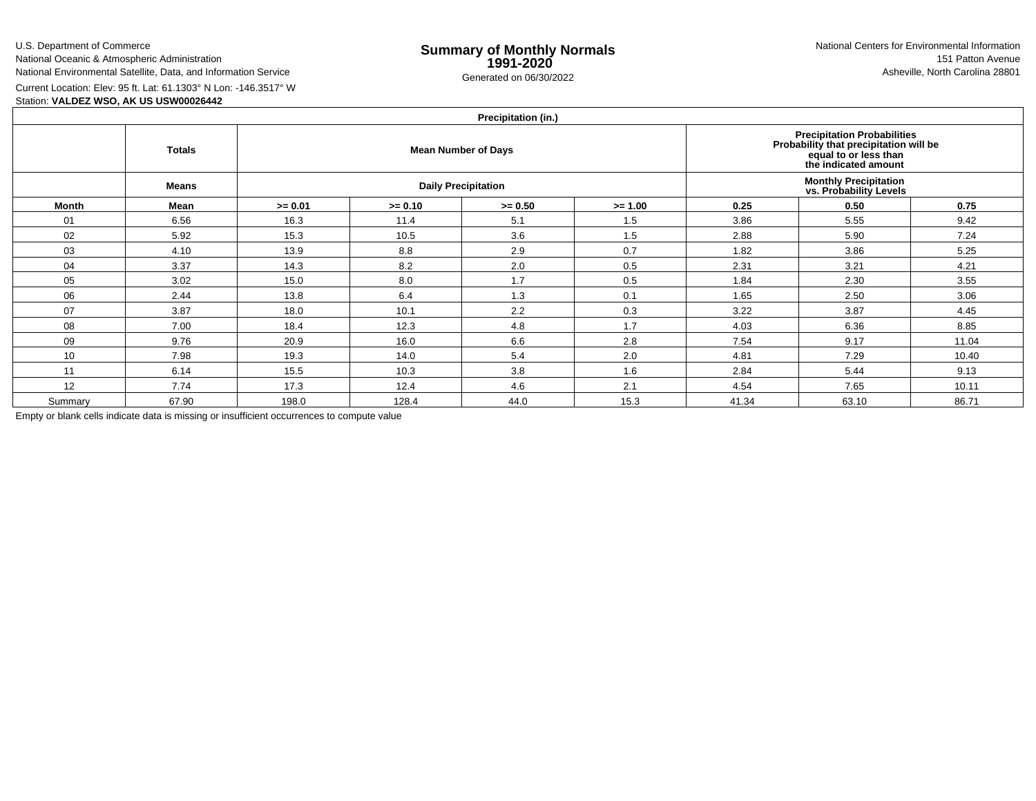U.S. Department of CommerceNational Oceanic & Atmospheric Administration

National Environmental Satellite, Data, and Information Service

e **Summary of Monthly Normals**<br> **1991-2020** 151 Patton Avenue **1991-2020** 1997-2020 e Generated on 06/30/2022 Asheville, North Carolina 28801 National Centers for Environmental Information151 Patton Avenue

Current Location: Elev: 95 ft. Lat: 61.1303° N Lon: -146.3517° W

Station: **VALDEZ WSO, AK US USW00026442**

# **Precipitation (in.)**

| 1.1     |               |           |           |                            |                                                                                                                        |                                                         |       |       |  |  |  |  |  |
|---------|---------------|-----------|-----------|----------------------------|------------------------------------------------------------------------------------------------------------------------|---------------------------------------------------------|-------|-------|--|--|--|--|--|
|         | <b>Totals</b> |           |           | <b>Mean Number of Days</b> | Precipitation Probabilities<br>Probability that precipitation will be<br>equal to or less than<br>the indicated amount |                                                         |       |       |  |  |  |  |  |
|         | <b>Means</b>  |           |           | <b>Daily Precipitation</b> |                                                                                                                        | <b>Monthly Precipitation<br/>vs. Probability Levels</b> |       |       |  |  |  |  |  |
| Month   | Mean          | $>= 0.01$ | $>= 0.10$ | $>= 0.50$                  | $>= 1.00$                                                                                                              | 0.25                                                    | 0.50  | 0.75  |  |  |  |  |  |
| 01      | 6.56          | 16.3      | 11.4      | 5.1                        | 1.5                                                                                                                    | 3.86                                                    | 5.55  | 9.42  |  |  |  |  |  |
| 02      | 5.92          | 15.3      | 10.5      | 3.6                        | 1.5                                                                                                                    | 2.88                                                    | 5.90  | 7.24  |  |  |  |  |  |
| 03      | 4.10          | 13.9      | 8.8       | 2.9                        | 0.7                                                                                                                    | 1.82                                                    | 3.86  | 5.25  |  |  |  |  |  |
| 04      | 3.37          | 14.3      | 8.2       | 2.0                        | 0.5                                                                                                                    | 2.31                                                    | 3.21  | 4.21  |  |  |  |  |  |
| 05      | 3.02          | 15.0      | 8.0       | 1.7                        | 0.5                                                                                                                    | 1.84                                                    | 2.30  | 3.55  |  |  |  |  |  |
| 06      | 2.44          | 13.8      | 6.4       | 1.3                        | 0.1                                                                                                                    | 1.65                                                    | 2.50  | 3.06  |  |  |  |  |  |
| 07      | 3.87          | 18.0      | 10.1      | 2.2                        | 0.3                                                                                                                    | 3.22                                                    | 3.87  | 4.45  |  |  |  |  |  |
| 08      | 7.00          | 18.4      | 12.3      | 4.8                        | 1.7                                                                                                                    | 4.03                                                    | 6.36  | 8.85  |  |  |  |  |  |
| 09      | 9.76          | 20.9      | 16.0      | 6.6                        | 2.8                                                                                                                    | 7.54                                                    | 9.17  | 11.04 |  |  |  |  |  |
| 10      | 7.98          | 19.3      | 14.0      | 5.4                        | 2.0                                                                                                                    | 4.81                                                    | 7.29  | 10.40 |  |  |  |  |  |
| 11      | 6.14          | 15.5      | 10.3      | 3.8                        | 1.6                                                                                                                    | 2.84                                                    | 5.44  | 9.13  |  |  |  |  |  |
| 12      | 7.74          | 17.3      | 12.4      | 4.6                        | 2.1                                                                                                                    | 4.54                                                    | 7.65  | 10.11 |  |  |  |  |  |
| Summary | 67.90         | 198.0     | 128.4     | 44.0                       | 15.3                                                                                                                   | 41.34                                                   | 63.10 | 86.71 |  |  |  |  |  |

Empty or blank cells indicate data is missing or insufficient occurrences to compute value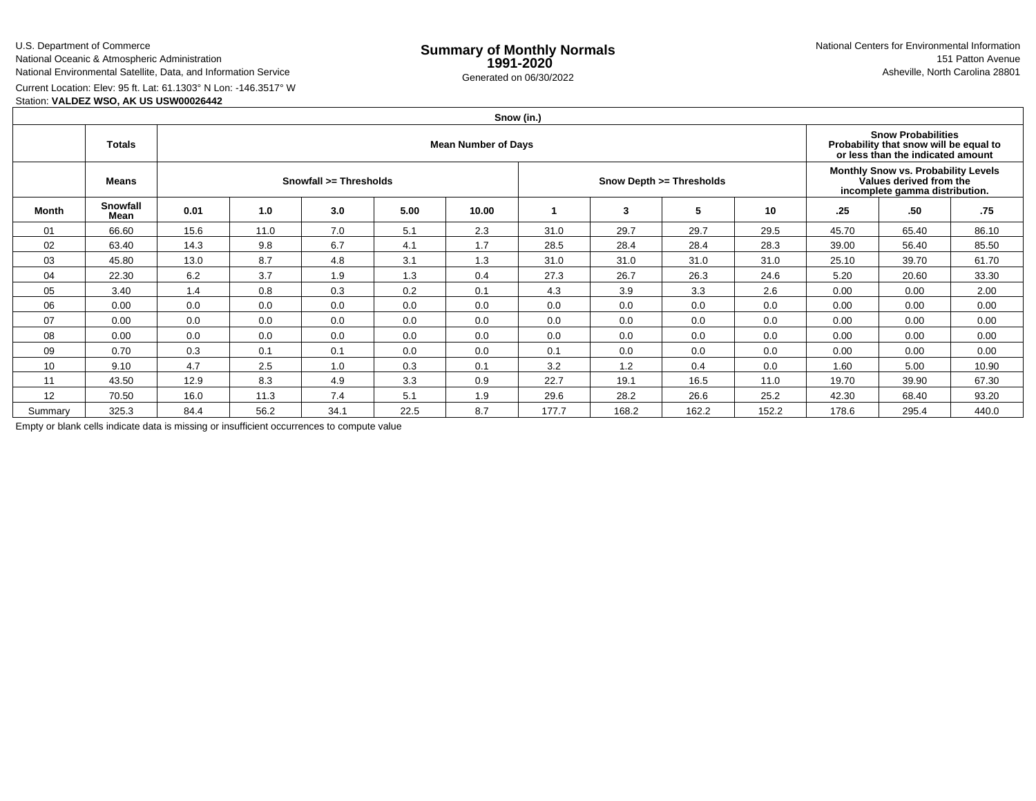# U.S. Department of Commerce

National Oceanic & Atmospheric AdministrationNational Environmental Satellite, Data, and Information Service

e **Summary of Monthly Normals**<br> **1991-2020** 151 Patton Avenue **1991-2020** 1997-2020 e Generated on 06/30/2022 Asheville, North Carolina 28801 National Centers for Environmental Information151 Patton Avenue

# Current Location: Elev: 95 ft. Lat: 61.1303° N Lon: -146.3517° W

Station: **VALDEZ WSO, AK US USW00026442**

# **Snow (in.)**

|         | <b>Totals</b>           | <b>Mean Number of Days</b> |      |      |      |       |       |       |                          |                                                                                                  |       | <b>Snow Probabilities</b><br>Probability that snow will be equal to<br>or less than the indicated amount |       |  |  |
|---------|-------------------------|----------------------------|------|------|------|-------|-------|-------|--------------------------|--------------------------------------------------------------------------------------------------|-------|----------------------------------------------------------------------------------------------------------|-------|--|--|
|         | Means                   | Snowfall >= Thresholds     |      |      |      |       |       |       | Snow Depth >= Thresholds | Monthly Snow vs. Probability Levels<br>Values derived from the<br>incomplete gamma distribution. |       |                                                                                                          |       |  |  |
| Month   | <b>Snowfall</b><br>Mean | 0.01                       | 1.0  | 3.0  | 5.00 | 10.00 |       | 3     | 5                        | 10                                                                                               | .25   | .50                                                                                                      | .75   |  |  |
| 01      | 66.60                   | 15.6                       | 11.0 | 7.0  | 5.1  | 2.3   | 31.0  | 29.7  | 29.7                     | 29.5                                                                                             | 45.70 | 65.40                                                                                                    | 86.10 |  |  |
| 02      | 63.40                   | 14.3                       | 9.8  | 6.7  | 4.1  | 1.7   | 28.5  | 28.4  | 28.4                     | 28.3                                                                                             | 39.00 | 56.40                                                                                                    | 85.50 |  |  |
| 03      | 45.80                   | 13.0                       | 8.7  | 4.8  | 3.1  | 1.3   | 31.0  | 31.0  | 31.0                     | 31.0                                                                                             | 25.10 | 39.70                                                                                                    | 61.70 |  |  |
| 04      | 22.30                   | 6.2                        | 3.7  | 1.9  | 1.3  | 0.4   | 27.3  | 26.7  | 26.3                     | 24.6                                                                                             | 5.20  | 20.60                                                                                                    | 33.30 |  |  |
| 05      | 3.40                    | 1.4                        | 0.8  | 0.3  | 0.2  | 0.1   | 4.3   | 3.9   | 3.3                      | 2.6                                                                                              | 0.00  | 0.00                                                                                                     | 2.00  |  |  |
| 06      | 0.00                    | 0.0                        | 0.0  | 0.0  | 0.0  | 0.0   | 0.0   | 0.0   | 0.0                      | 0.0                                                                                              | 0.00  | 0.00                                                                                                     | 0.00  |  |  |
| 07      | 0.00                    | 0.0                        | 0.0  | 0.0  | 0.0  | 0.0   | 0.0   | 0.0   | 0.0                      | 0.0                                                                                              | 0.00  | 0.00                                                                                                     | 0.00  |  |  |
| 08      | 0.00                    | 0.0                        | 0.0  | 0.0  | 0.0  | 0.0   | 0.0   | 0.0   | 0.0                      | 0.0                                                                                              | 0.00  | 0.00                                                                                                     | 0.00  |  |  |
| 09      | 0.70                    | 0.3                        | 0.1  | 0.1  | 0.0  | 0.0   | 0.1   | 0.0   | 0.0                      | 0.0                                                                                              | 0.00  | 0.00                                                                                                     | 0.00  |  |  |
| 10      | 9.10                    | 4.7                        | 2.5  | 1.0  | 0.3  | 0.1   | 3.2   | 1.2   | 0.4                      | 0.0                                                                                              | 1.60  | 5.00                                                                                                     | 10.90 |  |  |
| 11      | 43.50                   | 12.9                       | 8.3  | 4.9  | 3.3  | 0.9   | 22.7  | 19.1  | 16.5                     | 11.0                                                                                             | 19.70 | 39.90                                                                                                    | 67.30 |  |  |
| 12      | 70.50                   | 16.0                       | 11.3 | 7.4  | 5.1  | 1.9   | 29.6  | 28.2  | 26.6                     | 25.2                                                                                             | 42.30 | 68.40                                                                                                    | 93.20 |  |  |
| Summary | 325.3                   | 84.4                       | 56.2 | 34.1 | 22.5 | 8.7   | 177.7 | 168.2 | 162.2                    | 152.2                                                                                            | 178.6 | 295.4                                                                                                    | 440.0 |  |  |

Empty or blank cells indicate data is missing or insufficient occurrences to compute value